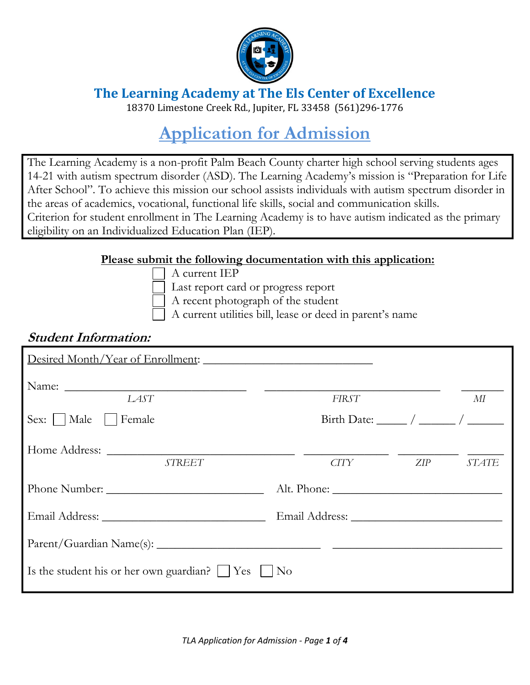

**The Learning Academy at The Els Center of Excellence**

18370 Limestone Creek Rd., Jupiter, FL 33458 (561)296-1776

# **Application for Admission**

The Learning Academy is a non-profit Palm Beach County charter high school serving students ages 14-21 with autism spectrum disorder (ASD). The Learning Academy's mission is "Preparation for Life After School". To achieve this mission our school assists individuals with autism spectrum disorder in the areas of academics, vocational, functional life skills, social and communication skills. Criterion for student enrollment in The Learning Academy is to have autism indicated as the primary eligibility on an Individualized Education Plan (IEP).

#### **Please submit the following documentation with this application:**

A current IEP

Last report card or progress report

A recent photograph of the student

A current utilities bill, lease or deed in parent's name

#### **Student Information:**

| Desired Month/Year of Enrollment:                        |                                                               |     |              |
|----------------------------------------------------------|---------------------------------------------------------------|-----|--------------|
| LAST                                                     | FIRST                                                         |     | МI           |
| Sex:     Male     Female                                 | Birth Date: $\frac{1}{\sqrt{2\pi}}$ / $\frac{1}{\sqrt{2\pi}}$ |     |              |
| <b>STREET</b>                                            | <b>CITY</b>                                                   | ZIP | <b>STATE</b> |
|                                                          |                                                               |     |              |
|                                                          |                                                               |     |              |
|                                                          |                                                               |     |              |
| Is the student his or her own guardian? $ $   Yes     No |                                                               |     |              |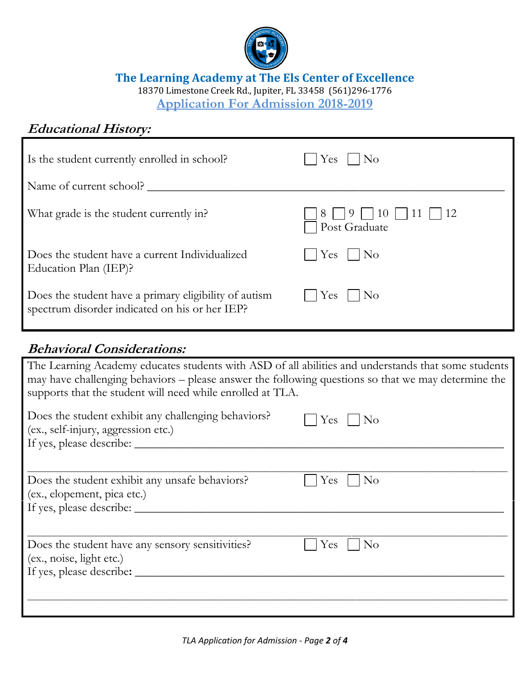

#### **The Learning Academy at The Els Center of Excellence**

18370 Limestone Creek Rd., Jupiter, FL 33458 (561)296-1776

**Application For Admission 2018-2019**

# **Educational History:**

| Is the student currently enrolled in school?                                                            | Yes<br>$ N_{O} $                                                        |
|---------------------------------------------------------------------------------------------------------|-------------------------------------------------------------------------|
| Name of current school?                                                                                 |                                                                         |
| What grade is the student currently in?                                                                 | $\Box$ 8 $\Box$ 9 $\Box$ 10 $\Box$ 11 $\Box$ 12<br>$\Box$ Post Graduate |
| Does the student have a current Individualized<br>Education Plan (IEP)?                                 | $ Yes $ $ No$                                                           |
| Does the student have a primary eligibility of autism<br>spectrum disorder indicated on his or her IEP? | $ $   Yes     No                                                        |

## **Behavioral Considerations:**

| The Learning Academy educates students with ASD of all abilities and understands that some students<br>may have challenging behaviors – please answer the following questions so that we may determine the<br>supports that the student will need while enrolled at TLA. |                       |  |
|--------------------------------------------------------------------------------------------------------------------------------------------------------------------------------------------------------------------------------------------------------------------------|-----------------------|--|
| Does the student exhibit any challenging behaviors?<br>(ex., self-injury, aggression etc.)                                                                                                                                                                               | $Yes \mid \text{No}$  |  |
| Does the student exhibit any unsafe behaviors?<br>(ex., elopement, pica etc.)                                                                                                                                                                                            | <b>Yes</b><br>No      |  |
| Does the student have any sensory sensitivities?<br>(ex., noise, light etc.)                                                                                                                                                                                             | Yes<br>N <sub>o</sub> |  |
|                                                                                                                                                                                                                                                                          |                       |  |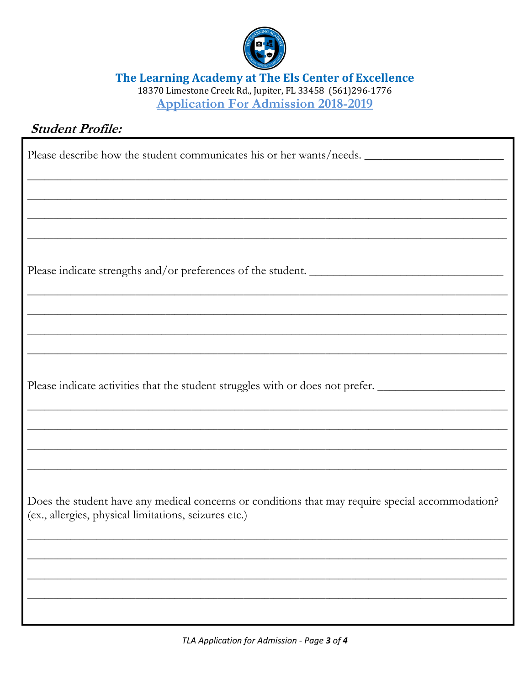

The Learning Academy at The Els Center of Excellence<br>18370 Limestone Creek Rd., Jupiter, FL 33458 (561)296-1776

**Application For Admission 2018-2019** 

# **Student Profile:**

| Please describe how the student communicates his or her wants/needs.                                                                                      |
|-----------------------------------------------------------------------------------------------------------------------------------------------------------|
|                                                                                                                                                           |
|                                                                                                                                                           |
| Please indicate strengths and/or preferences of the student.                                                                                              |
|                                                                                                                                                           |
|                                                                                                                                                           |
| Please indicate activities that the student struggles with or does not prefer.                                                                            |
|                                                                                                                                                           |
|                                                                                                                                                           |
| Does the student have any medical concerns or conditions that may require special accommodation?<br>(ex., allergies, physical limitations, seizures etc.) |
|                                                                                                                                                           |
|                                                                                                                                                           |
|                                                                                                                                                           |